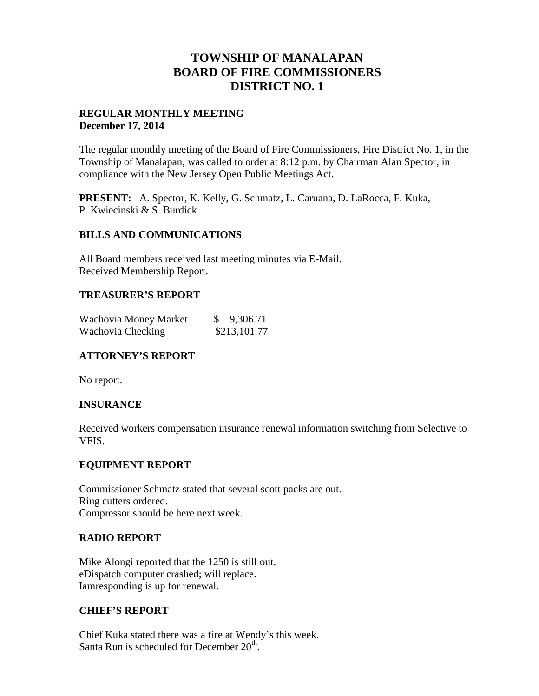# **TOWNSHIP OF MANALAPAN BOARD OF FIRE COMMISSIONERS DISTRICT NO. 1**

## **REGULAR MONTHLY MEETING December 17, 2014**

The regular monthly meeting of the Board of Fire Commissioners, Fire District No. 1, in the Township of Manalapan, was called to order at 8:12 p.m. by Chairman Alan Spector, in compliance with the New Jersey Open Public Meetings Act.

**PRESENT:** A. Spector, K. Kelly, G. Schmatz, L. Caruana, D. LaRocca, F. Kuka, P. Kwiecinski & S. Burdick

## **BILLS AND COMMUNICATIONS**

All Board members received last meeting minutes via E-Mail. Received Membership Report.

## **TREASURER'S REPORT**

| Wachovia Money Market | \$ 9,306.71  |
|-----------------------|--------------|
| Wachovia Checking     | \$213,101.77 |

## **ATTORNEY'S REPORT**

No report.

## **INSURANCE**

Received workers compensation insurance renewal information switching from Selective to VFIS.

## **EQUIPMENT REPORT**

Commissioner Schmatz stated that several scott packs are out. Ring cutters ordered. Compressor should be here next week.

## **RADIO REPORT**

Mike Alongi reported that the 1250 is still out. eDispatch computer crashed; will replace. Iamresponding is up for renewal.

## **CHIEF'S REPORT**

Chief Kuka stated there was a fire at Wendy's this week. Santa Run is scheduled for December  $20<sup>th</sup>$ .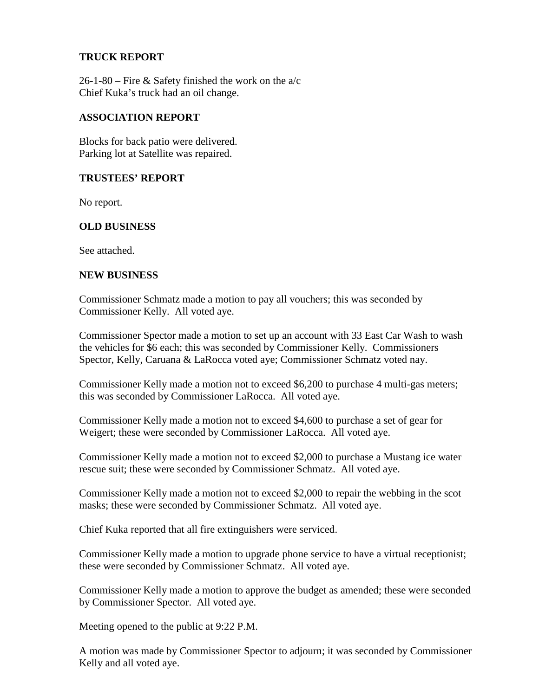## **TRUCK REPORT**

26-1-80 – Fire & Safety finished the work on the  $a/c$ Chief Kuka's truck had an oil change.

## **ASSOCIATION REPORT**

Blocks for back patio were delivered. Parking lot at Satellite was repaired.

#### **TRUSTEES' REPORT**

No report.

## **OLD BUSINESS**

See attached.

#### **NEW BUSINESS**

Commissioner Schmatz made a motion to pay all vouchers; this was seconded by Commissioner Kelly. All voted aye.

Commissioner Spector made a motion to set up an account with 33 East Car Wash to wash the vehicles for \$6 each; this was seconded by Commissioner Kelly. Commissioners Spector, Kelly, Caruana & LaRocca voted aye; Commissioner Schmatz voted nay.

Commissioner Kelly made a motion not to exceed \$6,200 to purchase 4 multi-gas meters; this was seconded by Commissioner LaRocca. All voted aye.

Commissioner Kelly made a motion not to exceed \$4,600 to purchase a set of gear for Weigert; these were seconded by Commissioner LaRocca. All voted aye.

Commissioner Kelly made a motion not to exceed \$2,000 to purchase a Mustang ice water rescue suit; these were seconded by Commissioner Schmatz. All voted aye.

Commissioner Kelly made a motion not to exceed \$2,000 to repair the webbing in the scot masks; these were seconded by Commissioner Schmatz. All voted aye.

Chief Kuka reported that all fire extinguishers were serviced.

Commissioner Kelly made a motion to upgrade phone service to have a virtual receptionist; these were seconded by Commissioner Schmatz. All voted aye.

Commissioner Kelly made a motion to approve the budget as amended; these were seconded by Commissioner Spector. All voted aye.

Meeting opened to the public at 9:22 P.M.

A motion was made by Commissioner Spector to adjourn; it was seconded by Commissioner Kelly and all voted aye.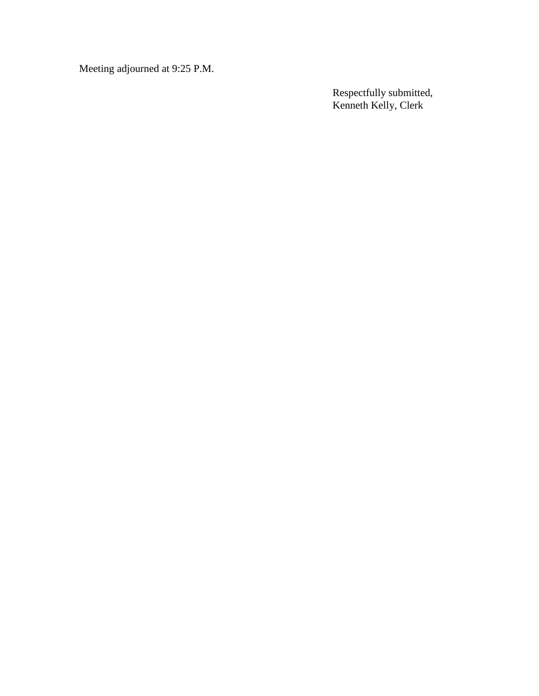Meeting adjourned at 9:25 P.M.

Respectfully submitted, Kenneth Kelly, Clerk